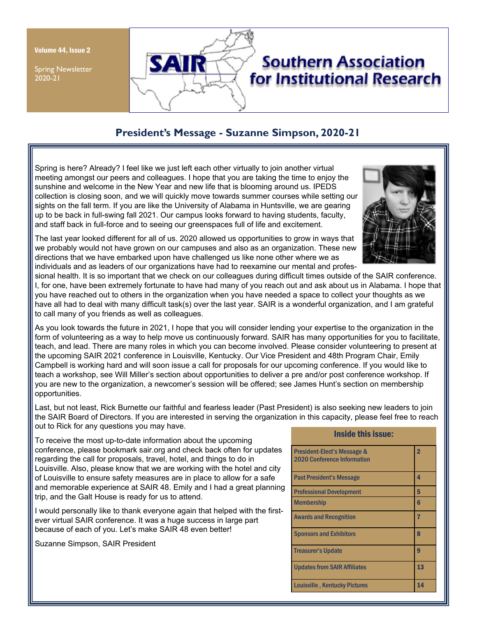Volume 44, Issue 2

Spring Newsletter 2020-21



# **President's Message - Suzanne Simpson, 2020-21**

Spring is here? Already? I feel like we just left each other virtually to join another virtual meeting amongst our peers and colleagues. I hope that you are taking the time to enjoy the sunshine and welcome in the New Year and new life that is blooming around us. IPEDS collection is closing soon, and we will quickly move towards summer courses while setting our sights on the fall term. If you are like the University of Alabama in Huntsville, we are gearing up to be back in full-swing fall 2021. Our campus looks forward to having students, faculty, and staff back in full-force and to seeing our greenspaces full of life and excitement.



The last year looked different for all of us. 2020 allowed us opportunities to grow in ways that we probably would not have grown on our campuses and also as an organization. These new directions that we have embarked upon have challenged us like none other where we as individuals and as leaders of our organizations have had to reexamine our mental and profes-

sional health. It is so important that we check on our colleagues during difficult times outside of the SAIR conference. I, for one, have been extremely fortunate to have had many of you reach out and ask about us in Alabama. I hope that you have reached out to others in the organization when you have needed a space to collect your thoughts as we have all had to deal with many difficult task(s) over the last year. SAIR is a wonderful organization, and I am grateful to call many of you friends as well as colleagues.

As you look towards the future in 2021, I hope that you will consider lending your expertise to the organization in the form of volunteering as a way to help move us continuously forward. SAIR has many opportunities for you to facilitate, teach, and lead. There are many roles in which you can become involved. Please consider volunteering to present at the upcoming SAIR 2021 conference in Louisville, Kentucky. Our Vice President and 48th Program Chair, Emily Campbell is working hard and will soon issue a call for proposals for our upcoming conference. If you would like to teach a workshop, see Will Miller's section about opportunities to deliver a pre and/or post conference workshop. If you are new to the organization, a newcomer's session will be offered; see James Hunt's section on membership opportunities.

Last, but not least, Rick Burnette our faithful and fearless leader (Past President) is also seeking new leaders to join the SAIR Board of Directors. If you are interested in serving the organization in this capacity, please feel free to reach out to Rick for any questions you may have.

To receive the most up-to-date information about the upcoming conference, please bookmark sair.org and check back often for updates regarding the call for proposals, travel, hotel, and things to do in Louisville. Also, please know that we are working with the hotel and city of Louisville to ensure safety measures are in place to allow for a safe and memorable experience at SAIR 48. Emily and I had a great planning trip, and the Galt House is ready for us to attend.

I would personally like to thank everyone again that helped with the firstever virtual SAIR conference. It was a huge success in large part because of each of you. Let's make SAIR 48 even better!

Suzanne Simpson, SAIR President

| <b>Inside this issue:</b>                                         |                |  |
|-------------------------------------------------------------------|----------------|--|
| President-Elect's Message &<br><b>2020 Conference Information</b> | $\overline{2}$ |  |
| Past President's Message                                          | 4              |  |
| <b>Professional Development</b>                                   | 5              |  |
| <b>Membership</b>                                                 | 6              |  |
| <b>Awards and Recognition</b>                                     | 7              |  |
| <b>Sponsors and Exhibitors</b>                                    | 8              |  |
| <b>Treasurer's Update</b>                                         | 9              |  |
| <b>Updates from SAIR Affiliates</b>                               | 13             |  |
| <b>Louisville, Kentucky Pictures</b>                              | 14             |  |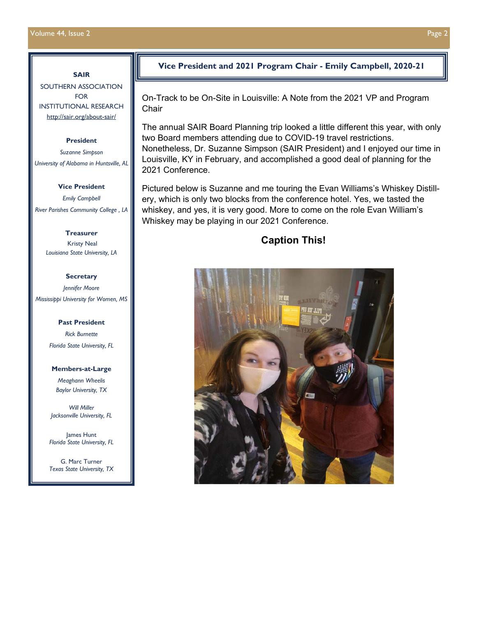## **SAIR**

SOUTHERN ASSOCIATION FOR INSTITUTIONAL RESEARCH http://sair.org/about-sair/

#### **President**

*Suzanne Simpson University of Alabama in Huntsville, AL* 

#### **Vice President**

*Emily Campbell River Parishes Community College , LA* 

> **Treasurer**  Kristy Neal *Louisiana State University, LA*

#### **Secretary**

*Jennifer Moore Mississippi University for Women, MS* 

#### **Past President**

*Rick Burnette Florida State University, FL* 

#### **Members-at-Large**

*Meaghann Wheelis Baylor University, TX* 

*Will Miller Jacksonville University, FL*

James Hunt *Florida State University, FL* 

G. Marc Turner *Texas State University, TX* 

## **Vice President and 2021 Program Chair - Emily Campbell, 2020-21**

On-Track to be On-Site in Louisville: A Note from the 2021 VP and Program **Chair** 

The annual SAIR Board Planning trip looked a little different this year, with only two Board members attending due to COVID-19 travel restrictions. Nonetheless, Dr. Suzanne Simpson (SAIR President) and I enjoyed our time in Louisville, KY in February, and accomplished a good deal of planning for the 2021 Conference.

Pictured below is Suzanne and me touring the Evan Williams's Whiskey Distillery, which is only two blocks from the conference hotel. Yes, we tasted the whiskey, and yes, it is very good. More to come on the role Evan William's Whiskey may be playing in our 2021 Conference.

# **Caption This!**

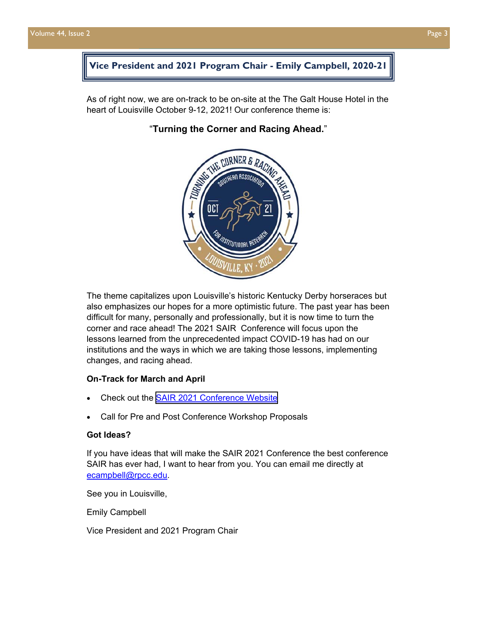# **Vice President and 2021 Program Chair - Emily Campbell, 2020-21**

As of right now, we are on-track to be on-site at the The Galt House Hotel in the heart of Louisville October 9-12, 2021! Our conference theme is:

# **CORNER &**

"**Turning the Corner and Racing Ahead.**"

The theme capitalizes upon Louisville's historic Kentucky Derby horseraces but also emphasizes our hopes for a more optimistic future. The past year has been difficult for many, personally and professionally, but it is now time to turn the corner and race ahead! The 2021 SAIR Conference will focus upon the lessons learned from the unprecedented impact COVID-19 has had on our institutions and the ways in which we are taking those lessons, implementing changes, and racing ahead.

#### **On-Track for March and April**

- Check out the [SAIR 2021 Conference Website](http://sair.org/conferences/sair-2021/)
- Call for Pre and Post Conference Workshop Proposals

#### **Got Ideas?**

If you have ideas that will make the SAIR 2021 Conference the best conference SAIR has ever had, I want to hear from you. You can email me directly at ecampbell@rpcc.edu.

See you in Louisville,

Emily Campbell

Vice President and 2021 Program Chair

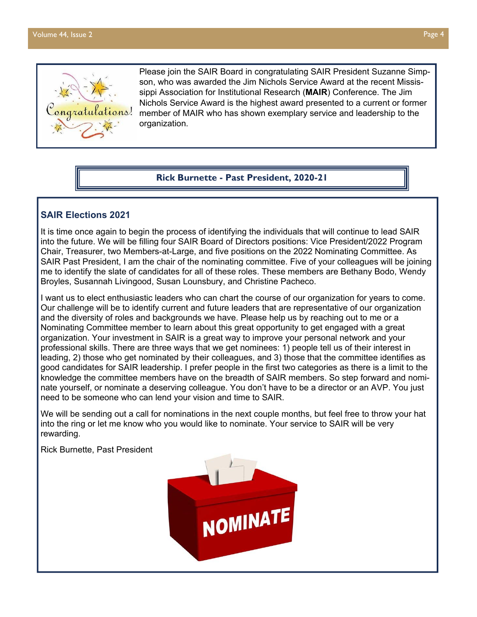

Please join the SAIR Board in congratulating SAIR President Suzanne Simpson, who was awarded the Jim Nichols Service Award at the recent Mississippi Association for Institutional Research (**MAIR**) Conference. The Jim Nichols Service Award is the highest award presented to a current or former member of MAIR who has shown exemplary service and leadership to the organization.

#### **Rick Burnette - Past President, 2020-21**

## **SAIR Elections 2021**

It is time once again to begin the process of identifying the individuals that will continue to lead SAIR into the future. We will be filling four SAIR Board of Directors positions: Vice President/2022 Program Chair, Treasurer, two Members-at-Large, and five positions on the 2022 Nominating Committee. As SAIR Past President, I am the chair of the nominating committee. Five of your colleagues will be joining me to identify the slate of candidates for all of these roles. These members are Bethany Bodo, Wendy Broyles, Susannah Livingood, Susan Lounsbury, and Christine Pacheco.

I want us to elect enthusiastic leaders who can chart the course of our organization for years to come. Our challenge will be to identify current and future leaders that are representative of our organization and the diversity of roles and backgrounds we have. Please help us by reaching out to me or a Nominating Committee member to learn about this great opportunity to get engaged with a great organization. Your investment in SAIR is a great way to improve your personal network and your professional skills. There are three ways that we get nominees: 1) people tell us of their interest in leading, 2) those who get nominated by their colleagues, and 3) those that the committee identifies as good candidates for SAIR leadership. I prefer people in the first two categories as there is a limit to the knowledge the committee members have on the breadth of SAIR members. So step forward and nominate yourself, or nominate a deserving colleague. You don't have to be a director or an AVP. You just need to be someone who can lend your vision and time to SAIR.

We will be sending out a call for nominations in the next couple months, but feel free to throw your hat into the ring or let me know who you would like to nominate. Your service to SAIR will be very rewarding.

Rick Burnette, Past President

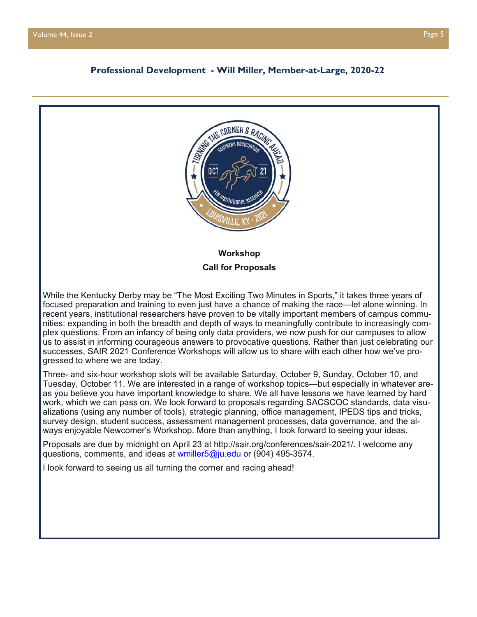#### **Professional Development - Will Miller, Member-at-Large, 2020-22**

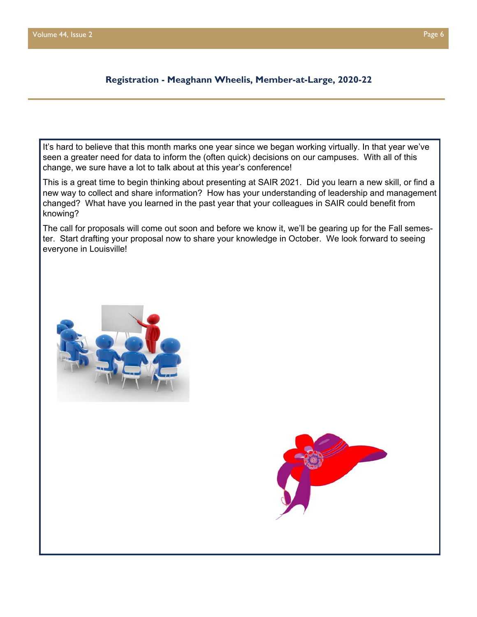## **Registration - Meaghann Wheelis, Member-at-Large, 2020-22**

It's hard to believe that this month marks one year since we began working virtually. In that year we've seen a greater need for data to inform the (often quick) decisions on our campuses. With all of this change, we sure have a lot to talk about at this year's conference!

This is a great time to begin thinking about presenting at SAIR 2021. Did you learn a new skill, or find a new way to collect and share information? How has your understanding of leadership and management changed? What have you learned in the past year that your colleagues in SAIR could benefit from knowing?

The call for proposals will come out soon and before we know it, we'll be gearing up for the Fall semester. Start drafting your proposal now to share your knowledge in October. We look forward to seeing everyone in Louisville!



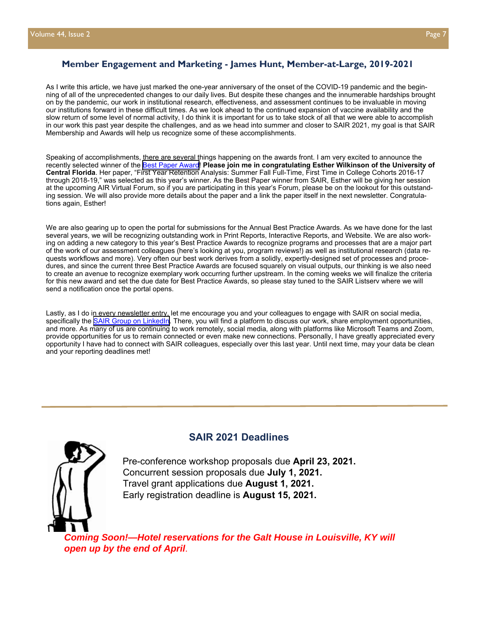#### **Member Engagement and Marketing - James Hunt, Member-at-Large, 2019-2021**

As I write this article, we have just marked the one-year anniversary of the onset of the COVID-19 pandemic and the beginning of all of the unprecedented changes to our daily lives. But despite these changes and the innumerable hardships brought on by the pandemic, our work in institutional research, effectiveness, and assessment continues to be invaluable in moving our institutions forward in these difficult times. As we look ahead to the continued expansion of vaccine availability and the slow return of some level of normal activity, I do think it is important for us to take stock of all that we were able to accomplish in our work this past year despite the challenges, and as we head into summer and closer to SAIR 2021, my goal is that SAIR Membership and Awards will help us recognize some of these accomplishments.

Speaking of accomplishments, there are several things happening on the awards front. I am very excited to announce the recently selected winner of the [Best Paper Award!](http://sair.org/awards/best-paper-award/) **Please join me in congratulating Esther Wilkinson of the University of Central Florida**. Her paper, "First Year Retention Analysis: Summer Fall Full-Time, First Time in College Cohorts 2016-17 through 2018-19," was selected as this year's winner. As the Best Paper winner from SAIR, Esther will be giving her session at the upcoming AIR Virtual Forum, so if you are participating in this year's Forum, please be on the lookout for this outstanding session. We will also provide more details about the paper and a link the paper itself in the next newsletter. Congratulations again, Esther!

We are also gearing up to open the portal for submissions for the Annual Best Practice Awards. As we have done for the last several years, we will be recognizing outstanding work in Print Reports, Interactive Reports, and Website. We are also working on adding a new category to this year's Best Practice Awards to recognize programs and processes that are a major part of the work of our assessment colleagues (here's looking at you, program reviews!) as well as institutional research (data requests workflows and more). Very often our best work derives from a solidly, expertly-designed set of processes and procedures, and since the current three Best Practice Awards are focused squarely on visual outputs, our thinking is we also need to create an avenue to recognize exemplary work occurring further upstream. In the coming weeks we will finalize the criteria for this new award and set the due date for Best Practice Awards, so please stay tuned to the SAIR Listserv where we will send a notification once the portal opens.

Lastly, as I do in every newsletter entry, let me encourage you and your colleagues to engage with SAIR on social media, specifically the [SAIR Group on LinkedIn.](https://www.linkedin.com/groups/2412194/) There, you will find a platform to discuss our work, share employment opportunities, and more. As many of us are continuing to work remotely, social media, along with platforms like Microsoft Teams and Zoom, provide opportunities for us to remain connected or even make new connections. Personally, I have greatly appreciated every opportunity I have had to connect with SAIR colleagues, especially over this last year. Until next time, may your data be clean and your reporting deadlines met!

#### **SAIR 2021 Deadlines**



Pre-conference workshop proposals due **April 23, 2021.** Concurrent session proposals due **July 1, 2021.** Travel grant applications due **August 1, 2021.** Early registration deadline is **August 15, 2021.** 

*Coming Soon!—Hotel reservations for the Galt House in Louisville, KY will open up by the end of April*.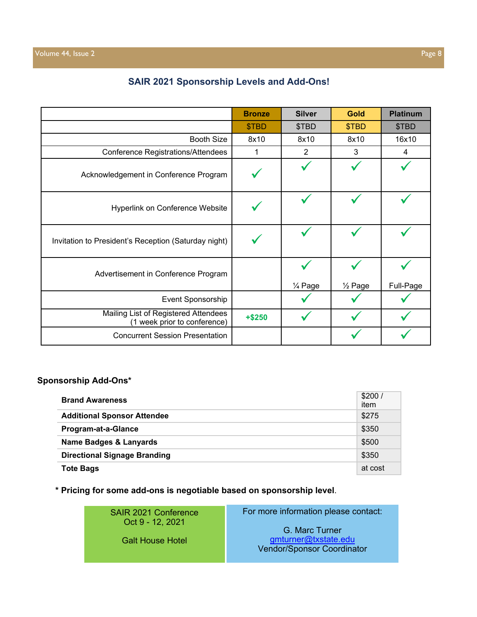|  |  |  | <b>SAIR 2021 Sponsorship Levels and Add-Ons!</b> |
|--|--|--|--------------------------------------------------|
|--|--|--|--------------------------------------------------|

|                                                                      | <b>Bronze</b> | <b>Silver</b> | <b>Gold</b>          | <b>Platinum</b> |
|----------------------------------------------------------------------|---------------|---------------|----------------------|-----------------|
|                                                                      | \$TBD         | \$TBD         | \$TBD                | \$TBD           |
| <b>Booth Size</b>                                                    | 8x10          | 8x10          | 8x10                 | 16x10           |
| <b>Conference Registrations/Attendees</b>                            | 1             | 2             | 3                    | 4               |
| Acknowledgement in Conference Program                                |               |               |                      |                 |
| Hyperlink on Conference Website                                      |               |               |                      |                 |
| Invitation to President's Reception (Saturday night)                 |               |               |                      |                 |
| Advertisement in Conference Program                                  |               | 1/4 Page      | 1/ <sub>2</sub> Page | Full-Page       |
| Event Sponsorship                                                    |               |               |                      |                 |
| Mailing List of Registered Attendees<br>(1 week prior to conference) | $+ $250$      |               |                      |                 |
| <b>Concurrent Session Presentation</b>                               |               |               |                      |                 |

## **Sponsorship Add-Ons\***

| <b>Brand Awareness</b>              | \$200/<br>item |
|-------------------------------------|----------------|
| <b>Additional Sponsor Attendee</b>  | \$275          |
| <b>Program-at-a-Glance</b>          | \$350          |
| <b>Name Badges &amp; Lanyards</b>   | \$500          |
| <b>Directional Signage Branding</b> | \$350          |
| <b>Tote Bags</b>                    | at cost        |

**\* Pricing for some add-ons is negotiable based on sponsorship level**.

SAIR 2021 Conference Oct 9 - 12, 2021

Galt House Hotel

G. Marc Turner gmturner@txstate.edu Vendor/Sponsor Coordinator

For more information please contact: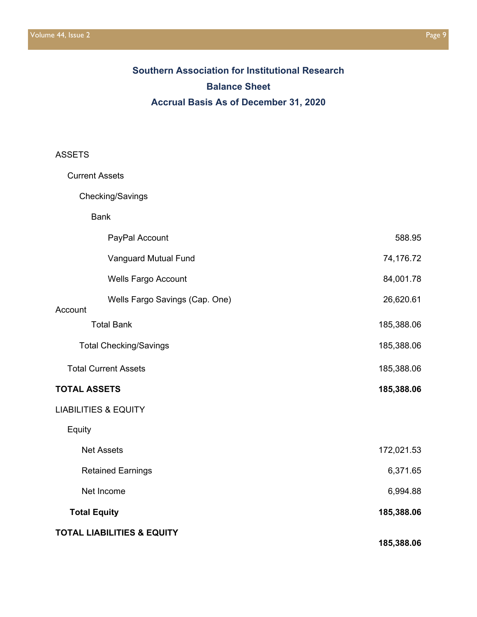# **Southern Association for Institutional Research Balance Sheet Accrual Basis As of December 31, 2020**

## ASSETS

| <b>Current Assets</b> |                                       |            |
|-----------------------|---------------------------------------|------------|
|                       | Checking/Savings                      |            |
|                       | <b>Bank</b>                           |            |
|                       | PayPal Account                        | 588.95     |
|                       | Vanguard Mutual Fund                  | 74,176.72  |
|                       | <b>Wells Fargo Account</b>            | 84,001.78  |
| Account               | Wells Fargo Savings (Cap. One)        | 26,620.61  |
|                       | <b>Total Bank</b>                     | 185,388.06 |
|                       | <b>Total Checking/Savings</b>         | 185,388.06 |
|                       | <b>Total Current Assets</b>           | 185,388.06 |
| <b>TOTAL ASSETS</b>   |                                       | 185,388.06 |
|                       | <b>LIABILITIES &amp; EQUITY</b>       |            |
| Equity                |                                       |            |
|                       | <b>Net Assets</b>                     | 172,021.53 |
|                       | <b>Retained Earnings</b>              | 6,371.65   |
|                       | Net Income                            | 6,994.88   |
| <b>Total Equity</b>   |                                       | 185,388.06 |
|                       | <b>TOTAL LIABILITIES &amp; EQUITY</b> | 185,388.06 |
|                       |                                       |            |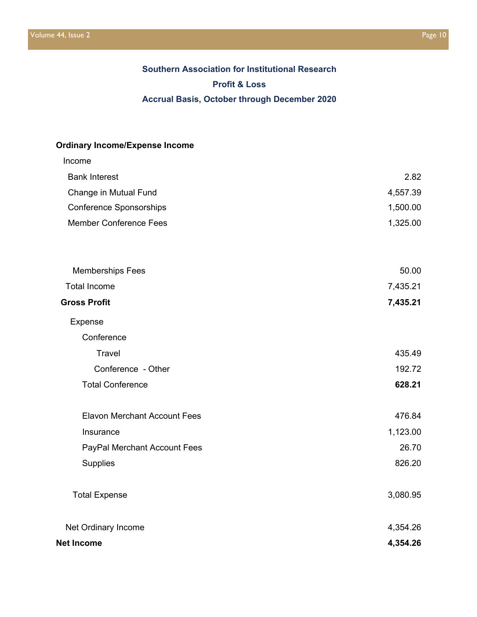# **Southern Association for Institutional Research Profit & Loss Accrual Basis, October through December 2020**

# **Ordinary Income/Expense Income**

| Income                              |          |
|-------------------------------------|----------|
| <b>Bank Interest</b>                | 2.82     |
| Change in Mutual Fund               | 4,557.39 |
| <b>Conference Sponsorships</b>      | 1,500.00 |
| <b>Member Conference Fees</b>       | 1,325.00 |
| <b>Memberships Fees</b>             | 50.00    |
| <b>Total Income</b>                 | 7,435.21 |
| <b>Gross Profit</b>                 | 7,435.21 |
| Expense                             |          |
| Conference                          |          |
| <b>Travel</b>                       | 435.49   |
| Conference - Other                  | 192.72   |
| <b>Total Conference</b>             | 628.21   |
| <b>Elavon Merchant Account Fees</b> | 476.84   |
| Insurance                           | 1,123.00 |
| PayPal Merchant Account Fees        | 26.70    |
| Supplies                            | 826.20   |
| <b>Total Expense</b>                | 3,080.95 |
| Net Ordinary Income                 | 4,354.26 |
| <b>Net Income</b>                   | 4,354.26 |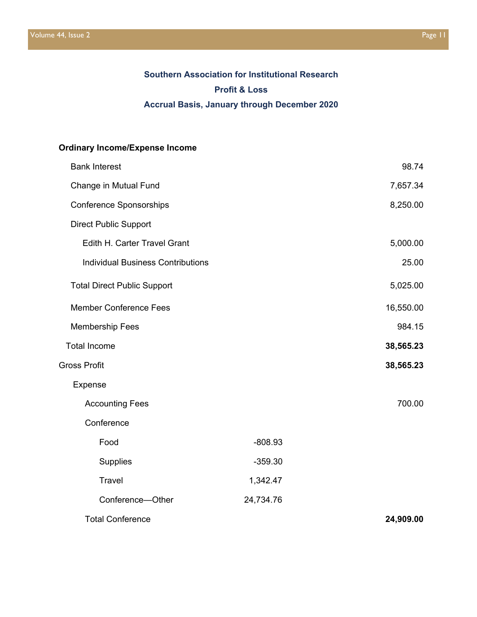# **Southern Association for Institutional Research Profit & Loss Accrual Basis, January through December 2020**

# **Ordinary Income/Expense Income**

| <b>Bank Interest</b>                     |           | 98.74     |
|------------------------------------------|-----------|-----------|
| Change in Mutual Fund                    |           | 7,657.34  |
| <b>Conference Sponsorships</b>           |           | 8,250.00  |
| <b>Direct Public Support</b>             |           |           |
| Edith H. Carter Travel Grant             |           | 5,000.00  |
| <b>Individual Business Contributions</b> |           | 25.00     |
| <b>Total Direct Public Support</b>       |           | 5,025.00  |
| <b>Member Conference Fees</b>            |           | 16,550.00 |
| <b>Membership Fees</b>                   |           | 984.15    |
| <b>Total Income</b>                      |           | 38,565.23 |
| <b>Gross Profit</b>                      |           | 38,565.23 |
| Expense                                  |           |           |
| <b>Accounting Fees</b>                   |           | 700.00    |
| Conference                               |           |           |
| Food                                     | $-808.93$ |           |
| <b>Supplies</b>                          | $-359.30$ |           |
| <b>Travel</b>                            | 1,342.47  |           |
| Conference-Other                         | 24,734.76 |           |
| <b>Total Conference</b>                  |           | 24,909.00 |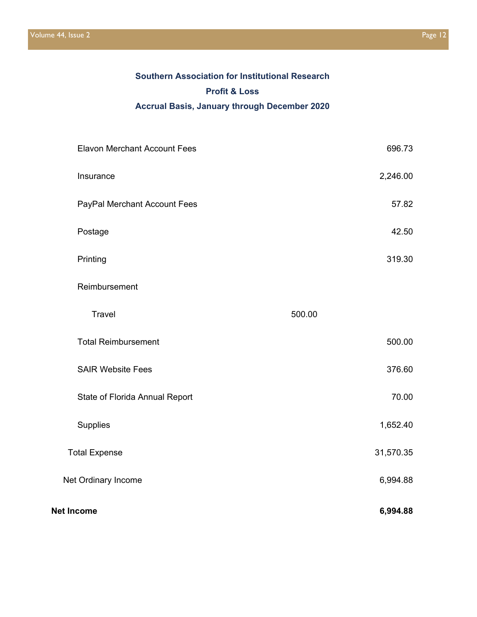# **Southern Association for Institutional Research Profit & Loss Accrual Basis, January through December 2020**

| <b>Elavon Merchant Account Fees</b> | 696.73    |
|-------------------------------------|-----------|
| Insurance                           | 2,246.00  |
| PayPal Merchant Account Fees        | 57.82     |
| Postage                             | 42.50     |
| Printing                            | 319.30    |
| Reimbursement                       |           |
| <b>Travel</b>                       | 500.00    |
| <b>Total Reimbursement</b>          | 500.00    |
| <b>SAIR Website Fees</b>            | 376.60    |
| State of Florida Annual Report      | 70.00     |
| Supplies                            | 1,652.40  |
| <b>Total Expense</b>                | 31,570.35 |
| Net Ordinary Income                 | 6,994.88  |
| <b>Net Income</b>                   | 6,994.88  |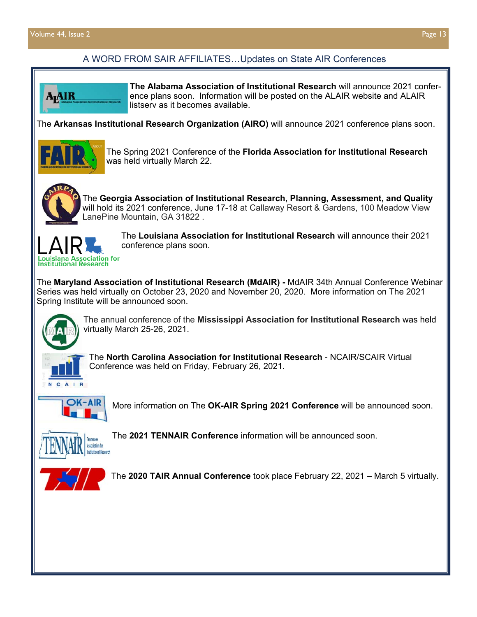# A WORD FROM SAIR AFFILIATES…Updates on State AIR Conferences



**The Alabama Association of Institutional Research** will announce 2021 conference plans soon. Information will be posted on the ALAIR website and ALAIR listserv as it becomes available.

The **Arkansas Institutional Research Organization (AIRO)** will announce 2021 conference plans soon.



The Spring 2021 Conference of the **Florida Association for Institutional Research**  was held virtually March 22.



The **Georgia Association of Institutional Research, Planning, Assessment, and Quality**  will hold its 2021 conference, June 17-18 at Callaway Resort & Gardens, 100 Meadow View LanePine Mountain, GA 31822 .



The **Louisiana Association for Institutional Research** will announce their 2021 conference plans soon.

The **Maryland Association of Institutional Research (MdAIR) -** MdAIR 34th Annual Conference Webinar Series was held virtually on October 23, 2020 and November 20, 2020. More information on The 2021 Spring Institute will be announced soon.



The annual conference of the **Mississippi Association for Institutional Research** was held virtually March 25-26, 2021.



The **North Carolina Association for Institutional Research** - NCAIR/SCAIR Virtual Conference was held on Friday, February 26, 2021.



More information on The **OK-AIR Spring 2021 Conference** will be announced soon.



The **2021 TENNAIR Conference** information will be announced soon.



The **2020 TAIR Annual Conference** took place February 22, 2021 – March 5 virtually.